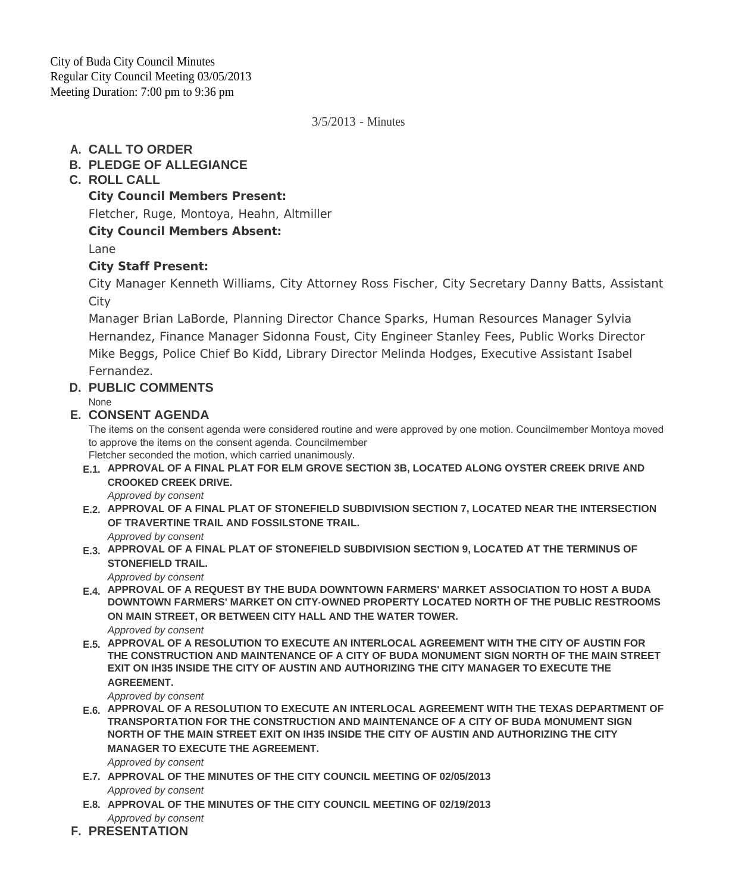3/5/2013 - Minutes

## **CALL TO ORDER A.**

## **PLEDGE OF ALLEGIANCE B.**

## **ROLL CALL C.**

**City Council Members Present:**

Fletcher, Ruge, Montoya, Heahn, Altmiller

## **City Council Members Absent:**

Lane

## **City Staff Present:**

City Manager Kenneth Williams, City Attorney Ross Fischer, City Secretary Danny Batts, Assistant **City** 

Manager Brian LaBorde, Planning Director Chance Sparks, Human Resources Manager Sylvia Hernandez, Finance Manager Sidonna Foust, City Engineer Stanley Fees, Public Works Director Mike Beggs, Police Chief Bo Kidd, Library Director Melinda Hodges, Executive Assistant Isabel Fernandez.

## **PUBLIC COMMENTS D.**

None

### **CONSENT AGENDA E.**

The items on the consent agenda were considered routine and were approved by one motion. Councilmember Montoya moved to approve the items on the consent agenda. Councilmember

Fletcher seconded the motion, which carried unanimously.

**APPROVAL OF A FINAL PLAT FOR ELM GROVE SECTION 3B, LOCATED ALONG OYSTER CREEK DRIVE AND E.1. CROOKED CREEK DRIVE.**

*Approved by consent*

- **APPROVAL OF A FINAL PLAT OF STONEFIELD SUBDIVISION SECTION 7, LOCATED NEAR THE INTERSECTION E.2. OF TRAVERTINE TRAIL AND FOSSILSTONE TRAIL.**
	- *Approved by consent*
- **APPROVAL OF A FINAL PLAT OF STONEFIELD SUBDIVISION SECTION 9, LOCATED AT THE TERMINUS OF E.3. STONEFIELD TRAIL.**

*Approved by consent*

- **APPROVAL OF A REQUEST BY THE BUDA DOWNTOWN FARMERS' MARKET ASSOCIATION TO HOST A BUDA E.4. DOWNTOWN FARMERS' MARKET ON CITY-OWNED PROPERTY LOCATED NORTH OF THE PUBLIC RESTROOMS ON MAIN STREET, OR BETWEEN CITY HALL AND THE WATER TOWER.** *Approved by consent*
- **APPROVAL OF A RESOLUTION TO EXECUTE AN INTERLOCAL AGREEMENT WITH THE CITY OF AUSTIN FOR E.5. THE CONSTRUCTION AND MAINTENANCE OF A CITY OF BUDA MONUMENT SIGN NORTH OF THE MAIN STREET EXIT ON IH35 INSIDE THE CITY OF AUSTIN AND AUTHORIZING THE CITY MANAGER TO EXECUTE THE AGREEMENT.**

*Approved by consent*

- **APPROVAL OF A RESOLUTION TO EXECUTE AN INTERLOCAL AGREEMENT WITH THE TEXAS DEPARTMENT OF E.6. TRANSPORTATION FOR THE CONSTRUCTION AND MAINTENANCE OF A CITY OF BUDA MONUMENT SIGN NORTH OF THE MAIN STREET EXIT ON IH35 INSIDE THE CITY OF AUSTIN AND AUTHORIZING THE CITY MANAGER TO EXECUTE THE AGREEMENT.** *Approved by consent*
- **APPROVAL OF THE MINUTES OF THE CITY COUNCIL MEETING OF 02/05/2013 E.7.** *Approved by consent*
- **APPROVAL OF THE MINUTES OF THE CITY COUNCIL MEETING OF 02/19/2013 E.8.** *Approved by consent*
- **PRESENTATION F.**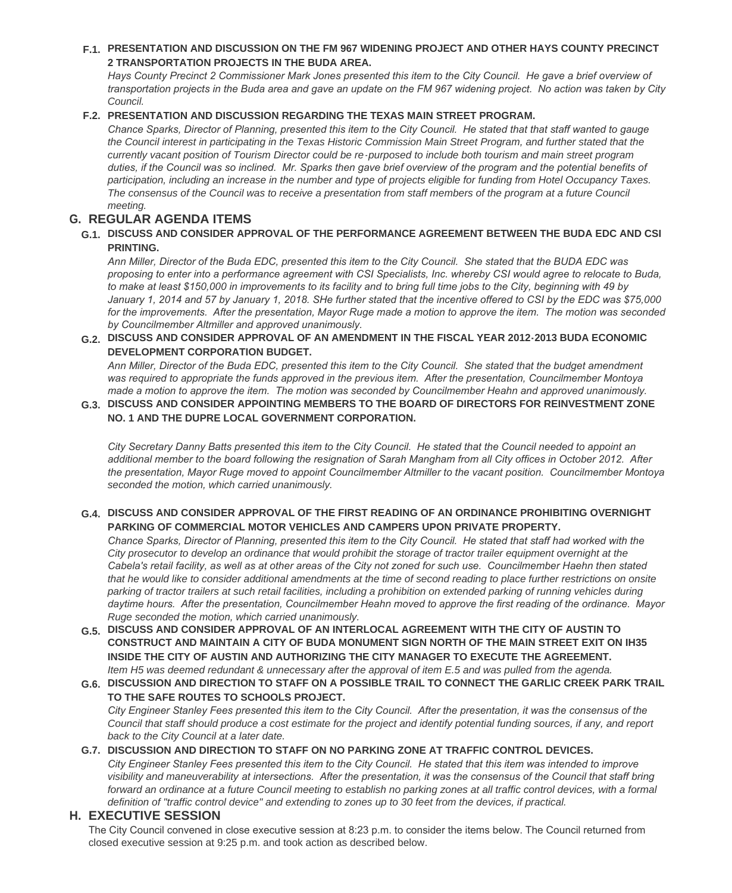### **PRESENTATION AND DISCUSSION ON THE FM 967 WIDENING PROJECT AND OTHER HAYS COUNTY PRECINCT F.1. 2 TRANSPORTATION PROJECTS IN THE BUDA AREA.**

Hays County Precinct 2 Commissioner Mark Jones presented this item to the City Council. He gave a brief overview of *transportation projects in the Buda area and gave an update on the FM 967 widening project. No action was taken by City Council.*

#### **PRESENTATION AND DISCUSSION REGARDING THE TEXAS MAIN STREET PROGRAM. F.2.**

*Chance Sparks, Director of Planning, presented this item to the City Council. He stated that that staff wanted to gauge the Council interest in participating in the Texas Historic Commission Main Street Program, and further stated that the currently vacant position of Tourism Director could be re-purposed to include both tourism and main street program duties, if the Council was so inclined. Mr. Sparks then gave brief overview of the program and the potential benefits of participation, including an increase in the number and type of projects eligible for funding from Hotel Occupancy Taxes.*  The consensus of the Council was to receive a presentation from staff members of the program at a future Council *meeting.*

### **REGULAR AGENDA ITEMS G.**

### **DISCUSS AND CONSIDER APPROVAL OF THE PERFORMANCE AGREEMENT BETWEEN THE BUDA EDC AND CSI G.1. PRINTING.**

*Ann Miller, Director of the Buda EDC, presented this item to the City Council. She stated that the BUDA EDC was proposing to enter into a performance agreement with CSI Specialists, Inc. whereby CSI would agree to relocate to Buda, to make at least \$150,000 in improvements to its facility and to bring full time jobs to the City, beginning with 49 by January 1, 2014 and 57 by January 1, 2018. SHe further stated that the incentive offered to CSI by the EDC was \$75,000 for the improvements. After the presentation, Mayor Ruge made a motion to approve the item. The motion was seconded by Councilmember Altmiller and approved unanimously.* 

#### **DISCUSS AND CONSIDER APPROVAL OF AN AMENDMENT IN THE FISCAL YEAR 2012-2013 BUDA ECONOMIC G.2. DEVELOPMENT CORPORATION BUDGET.**

*Ann Miller, Director of the Buda EDC, presented this item to the City Council. She stated that the budget amendment was required to appropriate the funds approved in the previous item. After the presentation, Councilmember Montoya made a motion to approve the item. The motion was seconded by Councilmember Heahn and approved unanimously.* 

### **DISCUSS AND CONSIDER APPOINTING MEMBERS TO THE BOARD OF DIRECTORS FOR REINVESTMENT ZONE G.3. NO. 1 AND THE DUPRE LOCAL GOVERNMENT CORPORATION.**

*City Secretary Danny Batts presented this item to the City Council. He stated that the Council needed to appoint an additional member to the board following the resignation of Sarah Mangham from all City offices in October 2012. After the presentation, Mayor Ruge moved to appoint Councilmember Altmiller to the vacant position. Councilmember Montoya seconded the motion, which carried unanimously.*

### **DISCUSS AND CONSIDER APPROVAL OF THE FIRST READING OF AN ORDINANCE PROHIBITING OVERNIGHT G.4. PARKING OF COMMERCIAL MOTOR VEHICLES AND CAMPERS UPON PRIVATE PROPERTY.**

*Chance Sparks, Director of Planning, presented this item to the City Council. He stated that staff had worked with the City prosecutor to develop an ordinance that would prohibit the storage of tractor trailer equipment overnight at the Cabela's retail facility, as well as at other areas of the City not zoned for such use. Councilmember Haehn then stated that he would like to consider additional amendments at the time of second reading to place further restrictions on onsite parking of tractor trailers at such retail facilities, including a prohibition on extended parking of running vehicles during daytime hours. After the presentation, Councilmember Heahn moved to approve the first reading of the ordinance. Mayor Ruge seconded the motion, which carried unanimously.*

**DISCUSS AND CONSIDER APPROVAL OF AN INTERLOCAL AGREEMENT WITH THE CITY OF AUSTIN TO G.5. CONSTRUCT AND MAINTAIN A CITY OF BUDA MONUMENT SIGN NORTH OF THE MAIN STREET EXIT ON IH35 INSIDE THE CITY OF AUSTIN AND AUTHORIZING THE CITY MANAGER TO EXECUTE THE AGREEMENT.** *Item H5 was deemed redundant & unnecessary after the approval of item E.5 and was pulled from the agenda.*

#### **DISCUSSION AND DIRECTION TO STAFF ON A POSSIBLE TRAIL TO CONNECT THE GARLIC CREEK PARK TRAIL G.6. TO THE SAFE ROUTES TO SCHOOLS PROJECT.** *City Engineer Stanley Fees presented this item to the City Council. After the presentation, it was the consensus of the Council that staff should produce a cost estimate for the project and identify potential funding sources, if any, and report back to the City Council at a later date.*

### **DISCUSSION AND DIRECTION TO STAFF ON NO PARKING ZONE AT TRAFFIC CONTROL DEVICES. G.7.**

*City Engineer Stanley Fees presented this item to the City Council. He stated that this item was intended to improve visibility and maneuverability at intersections. After the presentation, it was the consensus of the Council that staff bring forward an ordinance at a future Council meeting to establish no parking zones at all traffic control devices, with a formal definition of "traffic control device" and extending to zones up to 30 feet from the devices, if practical.*

### **EXECUTIVE SESSION H.**

The City Council convened in close executive session at 8:23 p.m. to consider the items below. The Council returned from closed executive session at 9:25 p.m. and took action as described below.